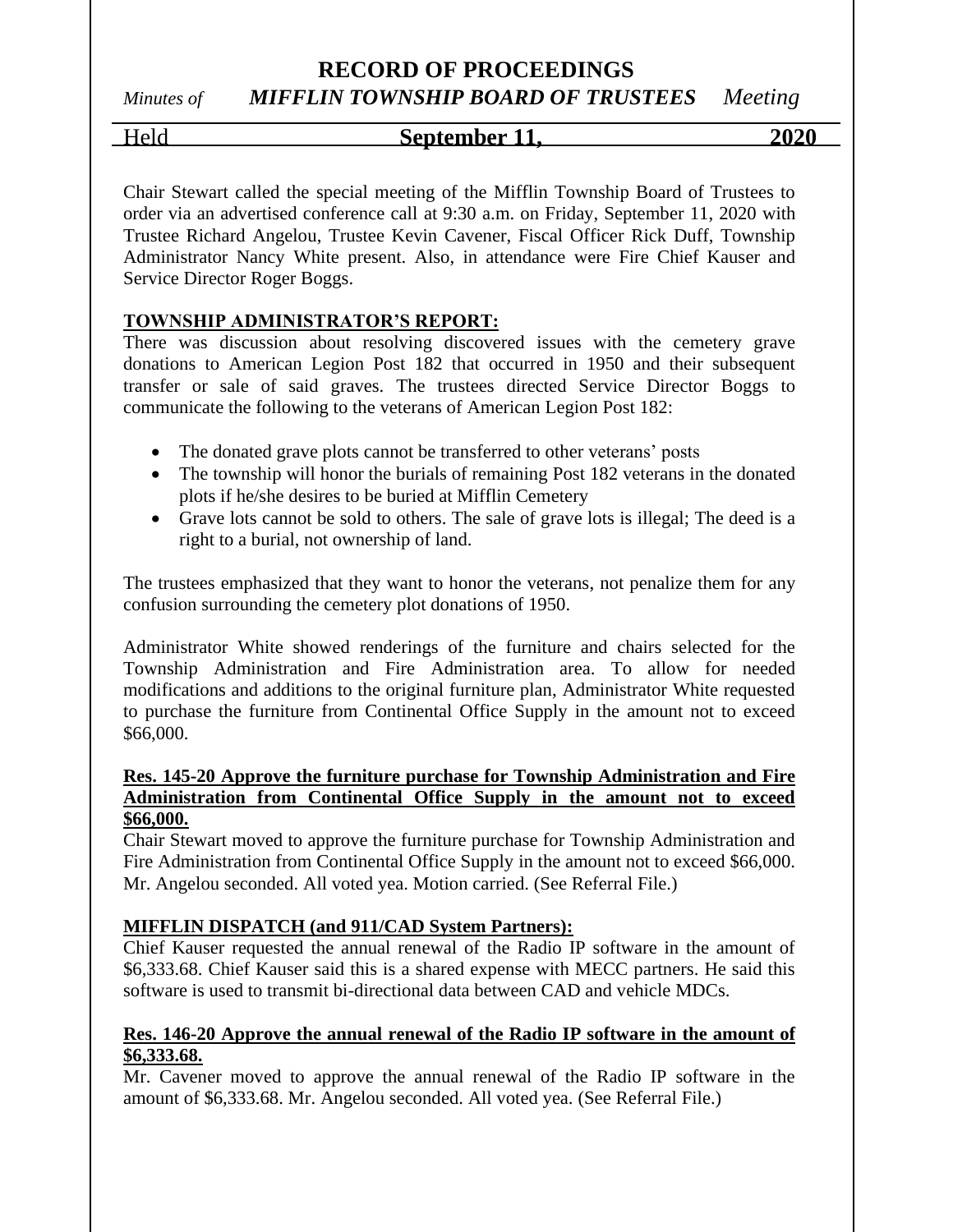# **RECORD OF PROCEEDINGS**

# *Minutes of MIFFLIN TOWNSHIP BOARD OF TRUSTEES Meeting*

## Held **September 11, 2020**

Chair Stewart called the special meeting of the Mifflin Township Board of Trustees to order via an advertised conference call at 9:30 a.m. on Friday, September 11, 2020 with Trustee Richard Angelou, Trustee Kevin Cavener, Fiscal Officer Rick Duff, Township Administrator Nancy White present. Also, in attendance were Fire Chief Kauser and Service Director Roger Boggs.

### **TOWNSHIP ADMINISTRATOR'S REPORT:**

There was discussion about resolving discovered issues with the cemetery grave donations to American Legion Post 182 that occurred in 1950 and their subsequent transfer or sale of said graves. The trustees directed Service Director Boggs to communicate the following to the veterans of American Legion Post 182:

- The donated grave plots cannot be transferred to other veterans' posts
- The township will honor the burials of remaining Post 182 veterans in the donated plots if he/she desires to be buried at Mifflin Cemetery
- Grave lots cannot be sold to others. The sale of grave lots is illegal; The deed is a right to a burial, not ownership of land.

The trustees emphasized that they want to honor the veterans, not penalize them for any confusion surrounding the cemetery plot donations of 1950.

Administrator White showed renderings of the furniture and chairs selected for the Township Administration and Fire Administration area. To allow for needed modifications and additions to the original furniture plan, Administrator White requested to purchase the furniture from Continental Office Supply in the amount not to exceed \$66,000.

#### **Res. 145-20 Approve the furniture purchase for Township Administration and Fire Administration from Continental Office Supply in the amount not to exceed \$66,000.**

Chair Stewart moved to approve the furniture purchase for Township Administration and Fire Administration from Continental Office Supply in the amount not to exceed \$66,000. Mr. Angelou seconded. All voted yea. Motion carried. (See Referral File.)

#### **MIFFLIN DISPATCH (and 911/CAD System Partners):**

Chief Kauser requested the annual renewal of the Radio IP software in the amount of \$6,333.68. Chief Kauser said this is a shared expense with MECC partners. He said this software is used to transmit bi-directional data between CAD and vehicle MDCs.

#### **Res. 146-20 Approve the annual renewal of the Radio IP software in the amount of \$6,333.68.**

Mr. Cavener moved to approve the annual renewal of the Radio IP software in the amount of \$6,333.68. Mr. Angelou seconded. All voted yea. (See Referral File.)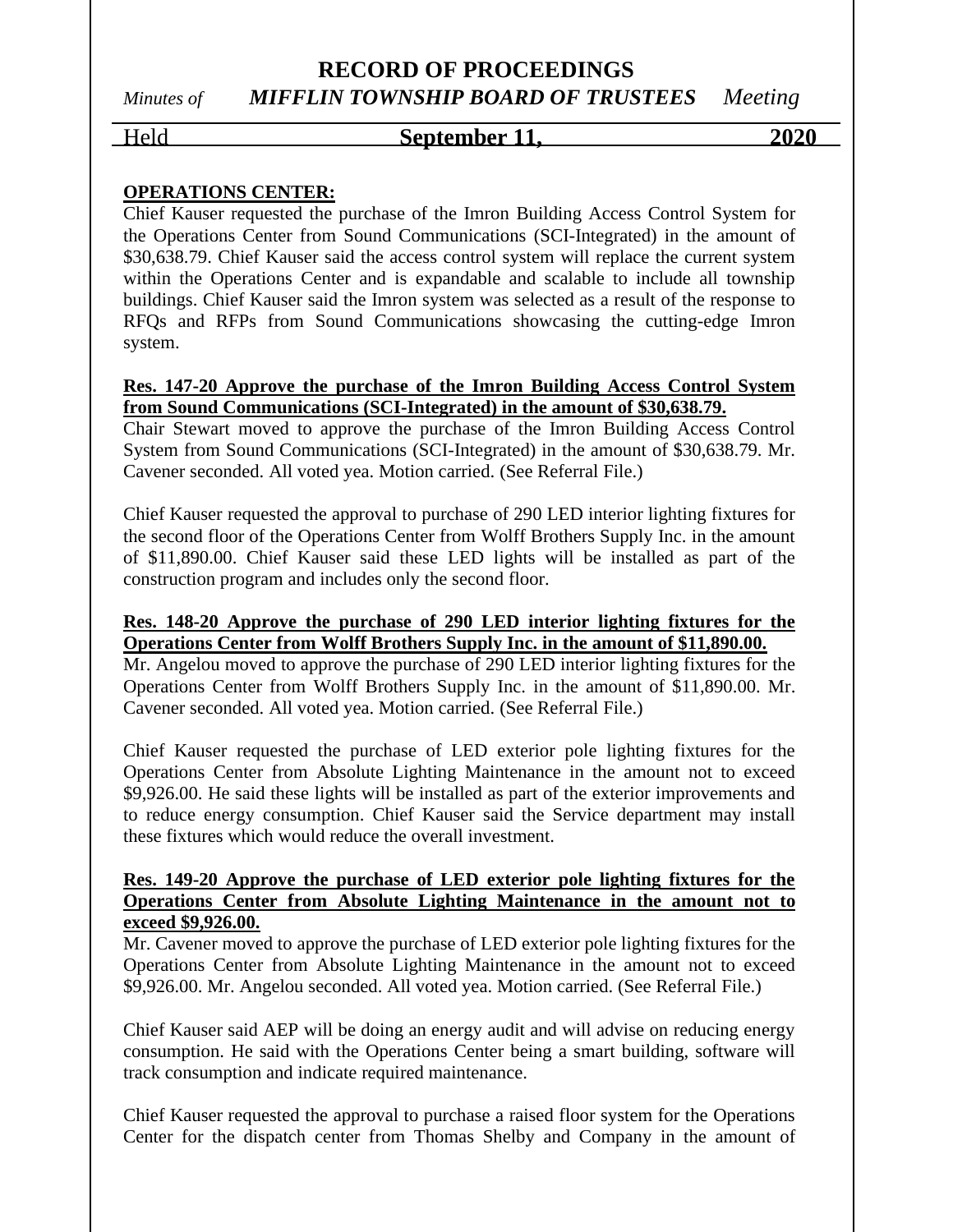# **RECORD OF PROCEEDINGS** *Minutes of MIFFLIN TOWNSHIP BOARD OF TRUSTEES Meeting*

## Held **September 11, 2020**

#### **OPERATIONS CENTER:**

Chief Kauser requested the purchase of the Imron Building Access Control System for the Operations Center from Sound Communications (SCI-Integrated) in the amount of \$30,638.79. Chief Kauser said the access control system will replace the current system within the Operations Center and is expandable and scalable to include all township buildings. Chief Kauser said the Imron system was selected as a result of the response to RFQs and RFPs from Sound Communications showcasing the cutting-edge Imron system.

#### **Res. 147-20 Approve the purchase of the Imron Building Access Control System from Sound Communications (SCI-Integrated) in the amount of \$30,638.79.**

Chair Stewart moved to approve the purchase of the Imron Building Access Control System from Sound Communications (SCI-Integrated) in the amount of \$30,638.79. Mr. Cavener seconded. All voted yea. Motion carried. (See Referral File.)

Chief Kauser requested the approval to purchase of 290 LED interior lighting fixtures for the second floor of the Operations Center from Wolff Brothers Supply Inc. in the amount of \$11,890.00. Chief Kauser said these LED lights will be installed as part of the construction program and includes only the second floor.

#### **Res. 148-20 Approve the purchase of 290 LED interior lighting fixtures for the Operations Center from Wolff Brothers Supply Inc. in the amount of \$11,890.00.**

Mr. Angelou moved to approve the purchase of 290 LED interior lighting fixtures for the Operations Center from Wolff Brothers Supply Inc. in the amount of \$11,890.00. Mr. Cavener seconded. All voted yea. Motion carried. (See Referral File.)

Chief Kauser requested the purchase of LED exterior pole lighting fixtures for the Operations Center from Absolute Lighting Maintenance in the amount not to exceed \$9,926.00. He said these lights will be installed as part of the exterior improvements and to reduce energy consumption. Chief Kauser said the Service department may install these fixtures which would reduce the overall investment.

#### **Res. 149-20 Approve the purchase of LED exterior pole lighting fixtures for the Operations Center from Absolute Lighting Maintenance in the amount not to exceed \$9,926.00.**

Mr. Cavener moved to approve the purchase of LED exterior pole lighting fixtures for the Operations Center from Absolute Lighting Maintenance in the amount not to exceed \$9,926.00. Mr. Angelou seconded. All voted yea. Motion carried. (See Referral File.)

Chief Kauser said AEP will be doing an energy audit and will advise on reducing energy consumption. He said with the Operations Center being a smart building, software will track consumption and indicate required maintenance.

Chief Kauser requested the approval to purchase a raised floor system for the Operations Center for the dispatch center from Thomas Shelby and Company in the amount of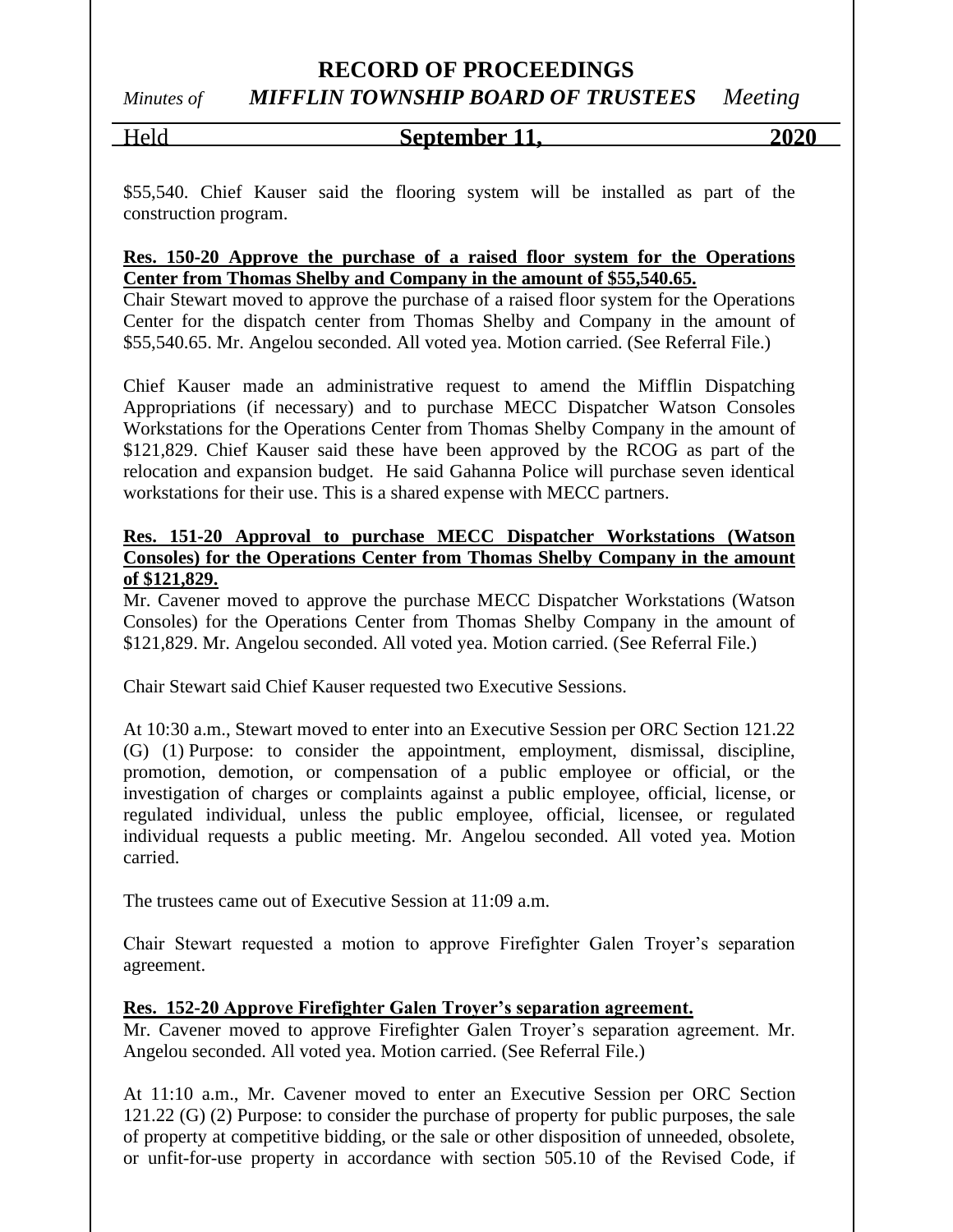#### **RECORD OF PROCEEDINGS**

# *Minutes of MIFFLIN TOWNSHIP BOARD OF TRUSTEES Meeting*

#### Held **September 11, 2020**

\$55,540. Chief Kauser said the flooring system will be installed as part of the construction program.

#### **Res. 150-20 Approve the purchase of a raised floor system for the Operations Center from Thomas Shelby and Company in the amount of \$55,540.65.**

Chair Stewart moved to approve the purchase of a raised floor system for the Operations Center for the dispatch center from Thomas Shelby and Company in the amount of \$55,540.65. Mr. Angelou seconded. All voted yea. Motion carried. (See Referral File.)

Chief Kauser made an administrative request to amend the Mifflin Dispatching Appropriations (if necessary) and to purchase MECC Dispatcher Watson Consoles Workstations for the Operations Center from Thomas Shelby Company in the amount of \$121,829. Chief Kauser said these have been approved by the RCOG as part of the relocation and expansion budget. He said Gahanna Police will purchase seven identical workstations for their use. This is a shared expense with MECC partners.

#### **Res. 151-20 Approval to purchase MECC Dispatcher Workstations (Watson Consoles) for the Operations Center from Thomas Shelby Company in the amount of \$121,829.**

Mr. Cavener moved to approve the purchase MECC Dispatcher Workstations (Watson Consoles) for the Operations Center from Thomas Shelby Company in the amount of \$121,829. Mr. Angelou seconded. All voted yea. Motion carried. (See Referral File.)

Chair Stewart said Chief Kauser requested two Executive Sessions.

At 10:30 a.m., Stewart moved to enter into an Executive Session per ORC Section 121.22 (G) (1) Purpose: to consider the appointment, employment, dismissal, discipline, promotion, demotion, or compensation of a public employee or official, or the investigation of charges or complaints against a public employee, official, license, or regulated individual, unless the public employee, official, licensee, or regulated individual requests a public meeting. Mr. Angelou seconded. All voted yea. Motion carried.

The trustees came out of Executive Session at 11:09 a.m.

Chair Stewart requested a motion to approve Firefighter Galen Troyer's separation agreement.

#### **Res. 152-20 Approve Firefighter Galen Troyer's separation agreement.**

Mr. Cavener moved to approve Firefighter Galen Troyer's separation agreement. Mr. Angelou seconded. All voted yea. Motion carried. (See Referral File.)

At 11:10 a.m., Mr. Cavener moved to enter an Executive Session per ORC Section 121.22 (G) (2) Purpose: to consider the purchase of property for public purposes, the sale of property at competitive bidding, or the sale or other disposition of unneeded, obsolete, or unfit-for-use property in accordance with section 505.10 of the Revised Code, if